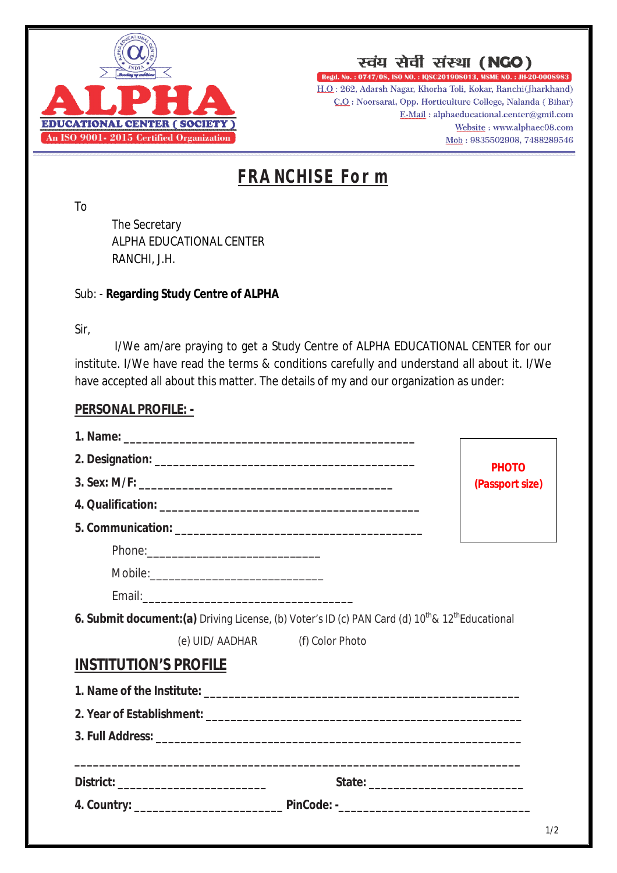

स्वंय सेवी संस्था (NGO)

Regd. No.: 0747/08, ISO NO.: IQSC201908013, MSME NO.: JH-20-0008983 H.O.: 262, Adarsh Nagar, Khorha Toli, Kokar, Ranchi(Jharkhand) C.O : Noorsarai, Opp. Horticulture College, Nalanda (Bihar) E-Mail: alphaeducational.center@gmil.com Website: www.alphaec08.com Mob: 9835502908, 7488289546

## **FRANCHISE Form**

To

The Secretary ALPHA EDUCATIONAL CENTER RANCHI, J.H.

## Sub: - **Regarding Study Centre of ALPHA**

Sir,

I/We am/are praying to get a Study Centre of ALPHA EDUCATIONAL CENTER for our institute. I/We have read the terms & conditions carefully and understand all about it. I/We have accepted all about this matter. The details of my and our organization as under:

## **PERSONAL PROFILE: -**

|                                                                                                                         | <b>PHOTO</b>    |
|-------------------------------------------------------------------------------------------------------------------------|-----------------|
|                                                                                                                         | (Passport size) |
|                                                                                                                         |                 |
|                                                                                                                         |                 |
|                                                                                                                         |                 |
|                                                                                                                         |                 |
|                                                                                                                         |                 |
| 6. Submit document:(a) Driving License, (b) Voter's ID (c) PAN Card (d) 10 <sup>th</sup> & 12 <sup>th</sup> Educational |                 |
| (e) UID/ AADHAR (f) Color Photo                                                                                         |                 |
| <b>INSTITUTION'S PROFILE</b>                                                                                            |                 |
|                                                                                                                         |                 |
|                                                                                                                         |                 |
|                                                                                                                         |                 |
|                                                                                                                         |                 |
|                                                                                                                         |                 |
|                                                                                                                         |                 |
|                                                                                                                         | 1/2             |